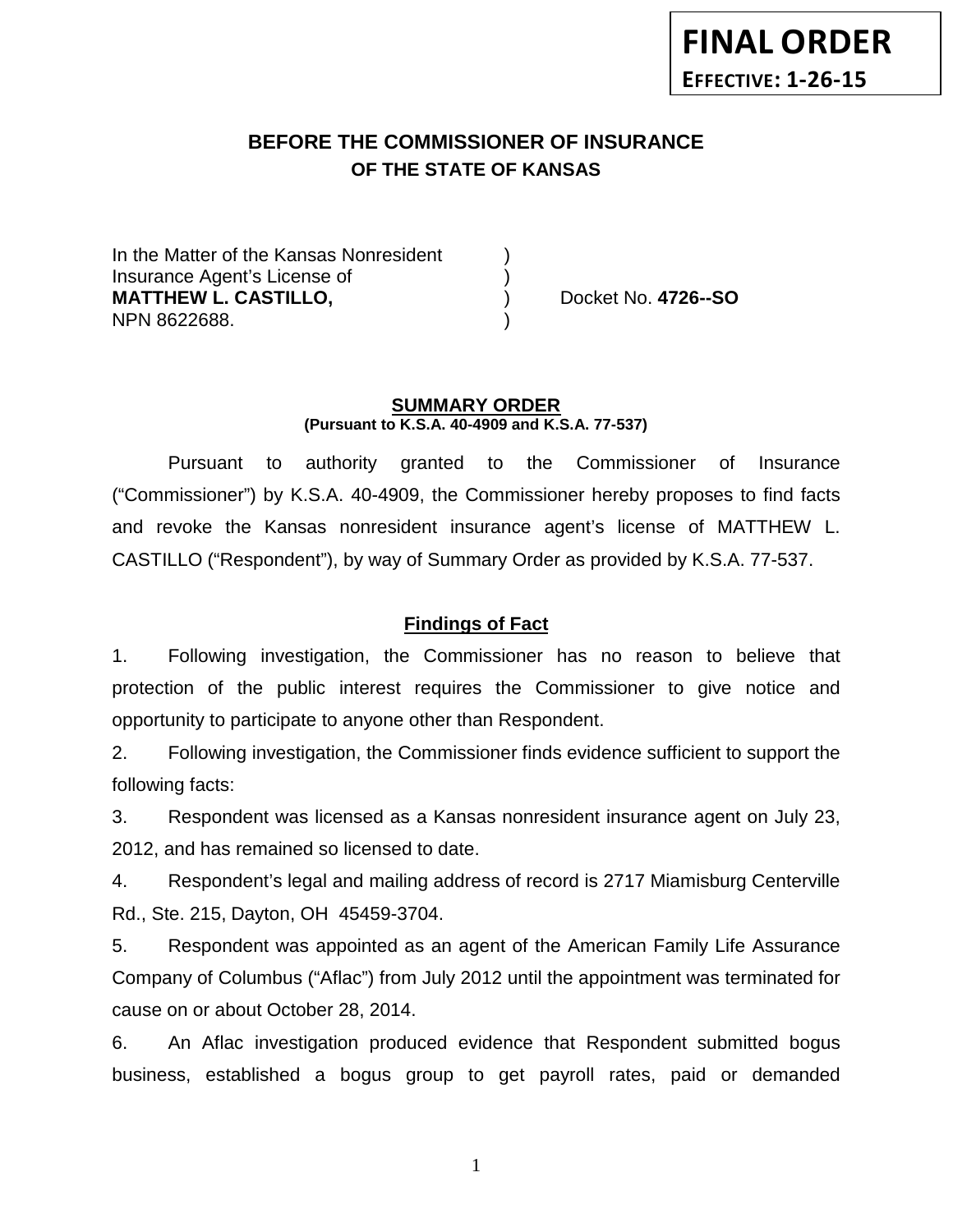# **BEFORE THE COMMISSIONER OF INSURANCE OF THE STATE OF KANSAS**

In the Matter of the Kansas Nonresident Insurance Agent's License of ) **MATTHEW L. CASTILLO,** (a) Docket No. 4726--SO NPN 8622688. )

#### **SUMMARY ORDER (Pursuant to K.S.A. 40-4909 and K.S.A. 77-537)**

Pursuant to authority granted to the Commissioner of Insurance ("Commissioner") by K.S.A. 40-4909, the Commissioner hereby proposes to find facts and revoke the Kansas nonresident insurance agent's license of MATTHEW L. CASTILLO ("Respondent"), by way of Summary Order as provided by K.S.A. 77-537.

# **Findings of Fact**

1. Following investigation, the Commissioner has no reason to believe that protection of the public interest requires the Commissioner to give notice and opportunity to participate to anyone other than Respondent.

2. Following investigation, the Commissioner finds evidence sufficient to support the following facts:

3. Respondent was licensed as a Kansas nonresident insurance agent on July 23, 2012, and has remained so licensed to date.

4. Respondent's legal and mailing address of record is 2717 Miamisburg Centerville Rd., Ste. 215, Dayton, OH 45459-3704.

5. Respondent was appointed as an agent of the American Family Life Assurance Company of Columbus ("Aflac") from July 2012 until the appointment was terminated for cause on or about October 28, 2014.

6. An Aflac investigation produced evidence that Respondent submitted bogus business, established a bogus group to get payroll rates, paid or demanded

1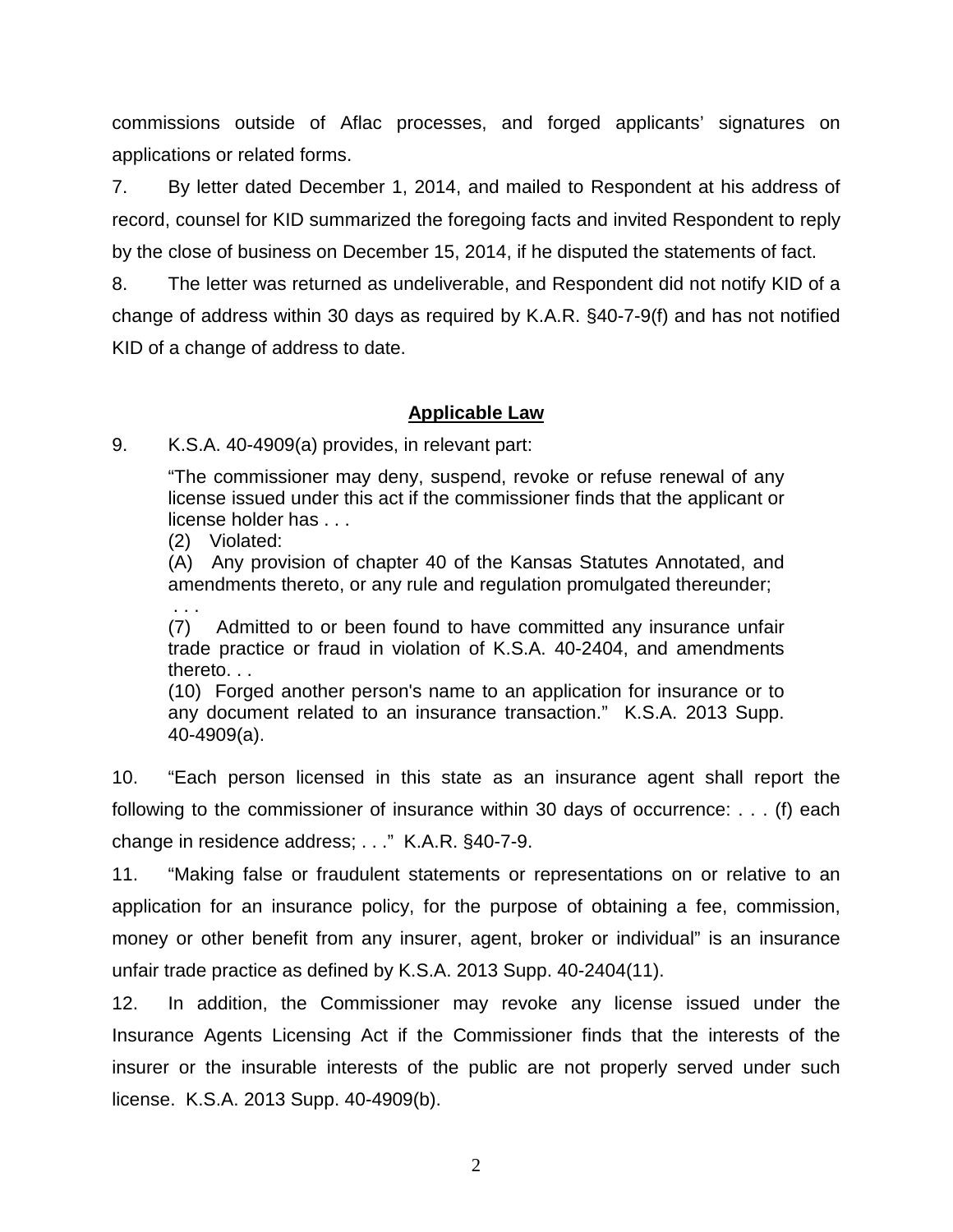commissions outside of Aflac processes, and forged applicants' signatures on applications or related forms.

7. By letter dated December 1, 2014, and mailed to Respondent at his address of record, counsel for KID summarized the foregoing facts and invited Respondent to reply by the close of business on December 15, 2014, if he disputed the statements of fact.

8. The letter was returned as undeliverable, and Respondent did not notify KID of a change of address within 30 days as required by K.A.R. §40-7-9(f) and has not notified KID of a change of address to date.

## **Applicable Law**

9. K.S.A. 40-4909(a) provides, in relevant part:

"The commissioner may deny, suspend, revoke or refuse renewal of any license issued under this act if the commissioner finds that the applicant or license holder has . . .

(2) Violated:

(A) Any provision of chapter 40 of the Kansas Statutes Annotated, and amendments thereto, or any rule and regulation promulgated thereunder;

. . . (7) Admitted to or been found to have committed any insurance unfair trade practice or fraud in violation of K.S.A. 40-2404, and amendments thereto. . .

(10) Forged another person's name to an application for insurance or to any document related to an insurance transaction." K.S.A. 2013 Supp. 40-4909(a).

10. "Each person licensed in this state as an insurance agent shall report the following to the commissioner of insurance within 30 days of occurrence: . . . (f) each change in residence address; . . ." K.A.R. §40-7-9.

11. "Making false or fraudulent statements or representations on or relative to an application for an insurance policy, for the purpose of obtaining a fee, commission, money or other benefit from any insurer, agent, broker or individual" is an insurance unfair trade practice as defined by K.S.A. 2013 Supp. 40-2404(11).

12. In addition, the Commissioner may revoke any license issued under the Insurance Agents Licensing Act if the Commissioner finds that the interests of the insurer or the insurable interests of the public are not properly served under such license. K.S.A. 2013 Supp. 40-4909(b).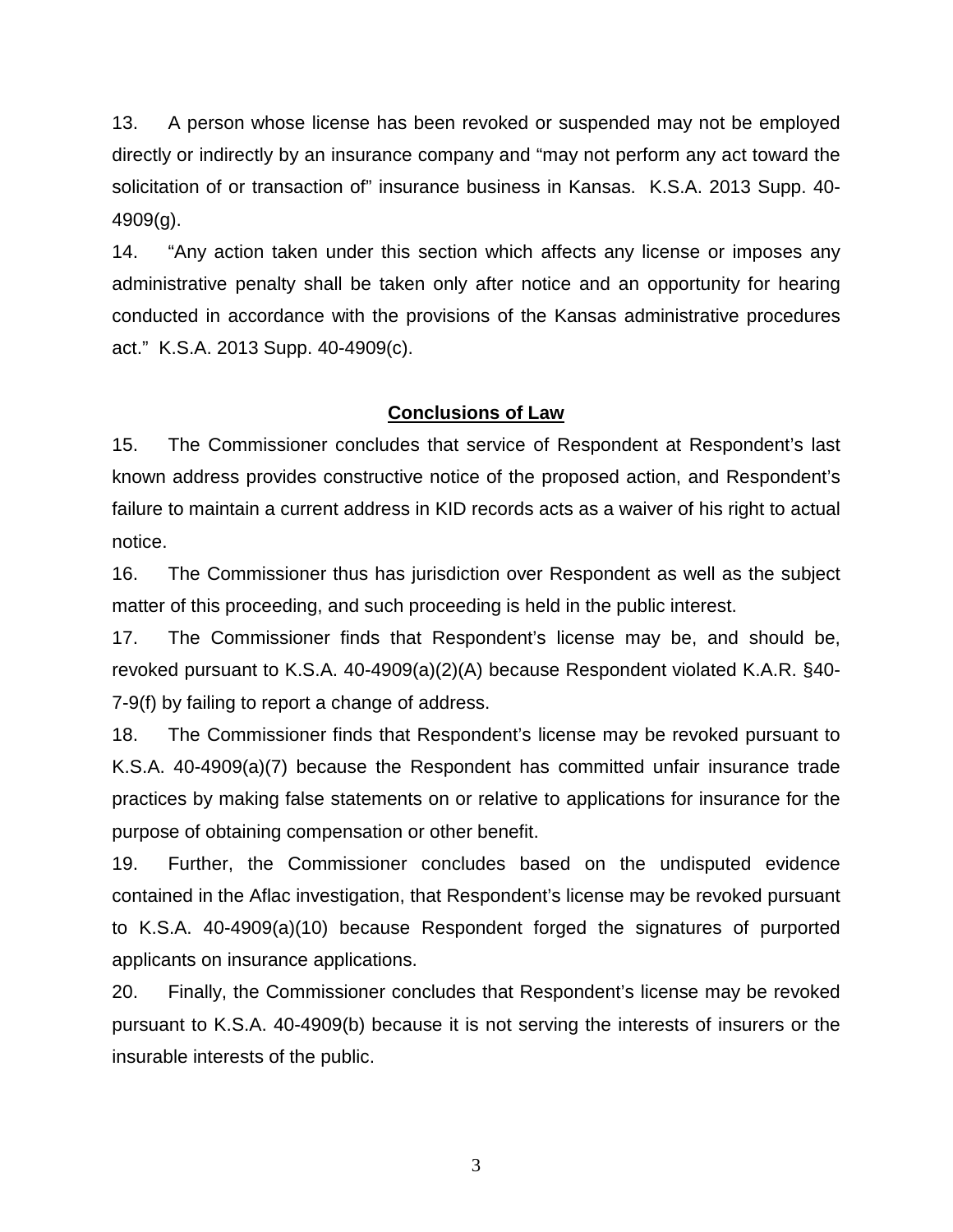13. A person whose license has been revoked or suspended may not be employed directly or indirectly by an insurance company and "may not perform any act toward the solicitation of or transaction of" insurance business in Kansas. K.S.A. 2013 Supp. 40- 4909(g).

14. "Any action taken under this section which affects any license or imposes any administrative penalty shall be taken only after notice and an opportunity for hearing conducted in accordance with the provisions of the Kansas administrative procedures act." K.S.A. 2013 Supp. 40-4909(c).

### **Conclusions of Law**

15. The Commissioner concludes that service of Respondent at Respondent's last known address provides constructive notice of the proposed action, and Respondent's failure to maintain a current address in KID records acts as a waiver of his right to actual notice.

16. The Commissioner thus has jurisdiction over Respondent as well as the subject matter of this proceeding, and such proceeding is held in the public interest.

17. The Commissioner finds that Respondent's license may be, and should be, revoked pursuant to K.S.A. 40-4909(a)(2)(A) because Respondent violated K.A.R. §40- 7-9(f) by failing to report a change of address.

18. The Commissioner finds that Respondent's license may be revoked pursuant to K.S.A. 40-4909(a)(7) because the Respondent has committed unfair insurance trade practices by making false statements on or relative to applications for insurance for the purpose of obtaining compensation or other benefit.

19. Further, the Commissioner concludes based on the undisputed evidence contained in the Aflac investigation, that Respondent's license may be revoked pursuant to K.S.A. 40-4909(a)(10) because Respondent forged the signatures of purported applicants on insurance applications.

20. Finally, the Commissioner concludes that Respondent's license may be revoked pursuant to K.S.A. 40-4909(b) because it is not serving the interests of insurers or the insurable interests of the public.

3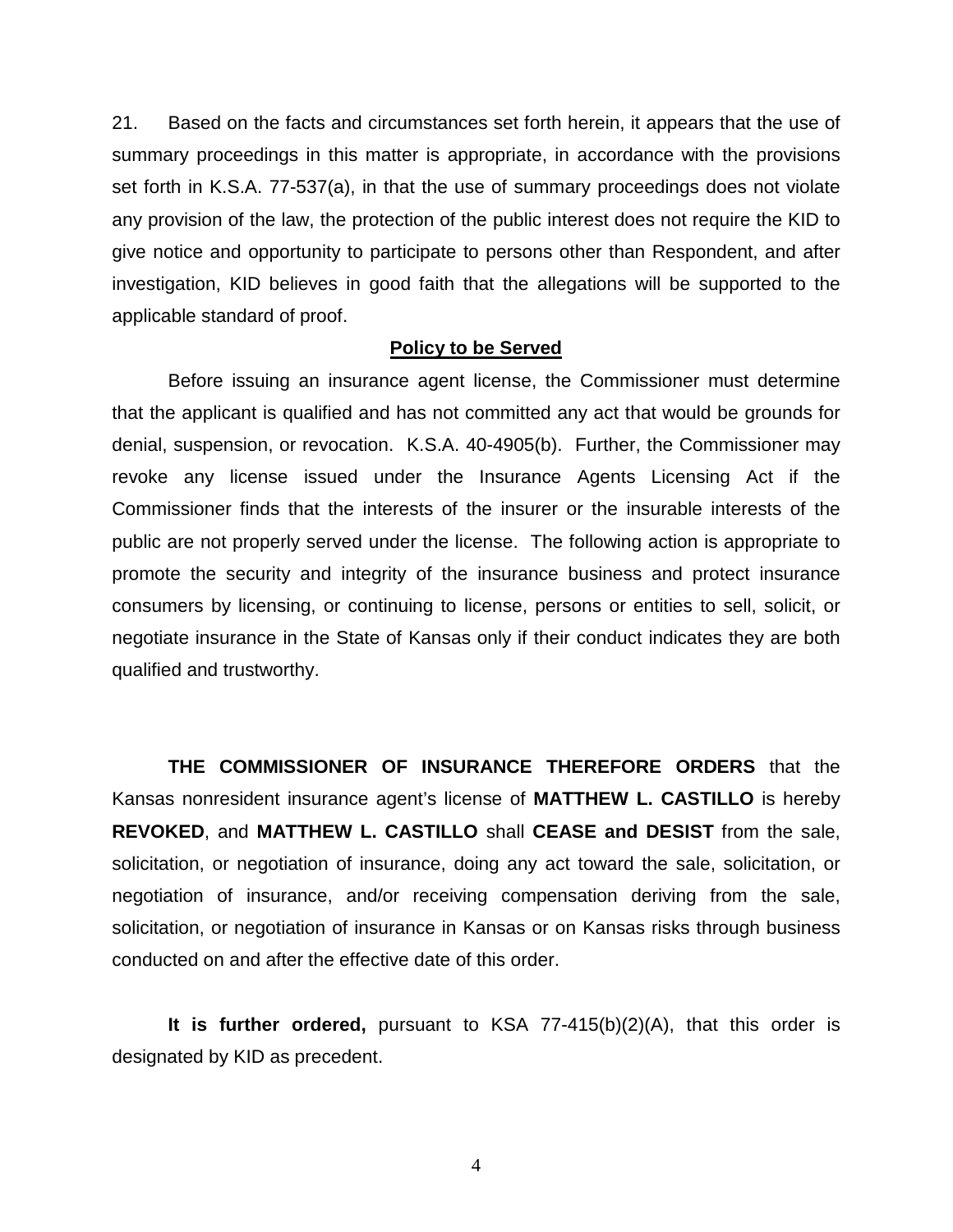21. Based on the facts and circumstances set forth herein, it appears that the use of summary proceedings in this matter is appropriate, in accordance with the provisions set forth in K.S.A. 77-537(a), in that the use of summary proceedings does not violate any provision of the law, the protection of the public interest does not require the KID to give notice and opportunity to participate to persons other than Respondent, and after investigation, KID believes in good faith that the allegations will be supported to the applicable standard of proof.

#### **Policy to be Served**

Before issuing an insurance agent license, the Commissioner must determine that the applicant is qualified and has not committed any act that would be grounds for denial, suspension, or revocation. K.S.A. 40-4905(b). Further, the Commissioner may revoke any license issued under the Insurance Agents Licensing Act if the Commissioner finds that the interests of the insurer or the insurable interests of the public are not properly served under the license. The following action is appropriate to promote the security and integrity of the insurance business and protect insurance consumers by licensing, or continuing to license, persons or entities to sell, solicit, or negotiate insurance in the State of Kansas only if their conduct indicates they are both qualified and trustworthy.

**THE COMMISSIONER OF INSURANCE THEREFORE ORDERS** that the Kansas nonresident insurance agent's license of **MATTHEW L. CASTILLO** is hereby **REVOKED**, and **MATTHEW L. CASTILLO** shall **CEASE and DESIST** from the sale, solicitation, or negotiation of insurance, doing any act toward the sale, solicitation, or negotiation of insurance, and/or receiving compensation deriving from the sale, solicitation, or negotiation of insurance in Kansas or on Kansas risks through business conducted on and after the effective date of this order.

**It is further ordered,** pursuant to KSA 77-415(b)(2)(A), that this order is designated by KID as precedent.

4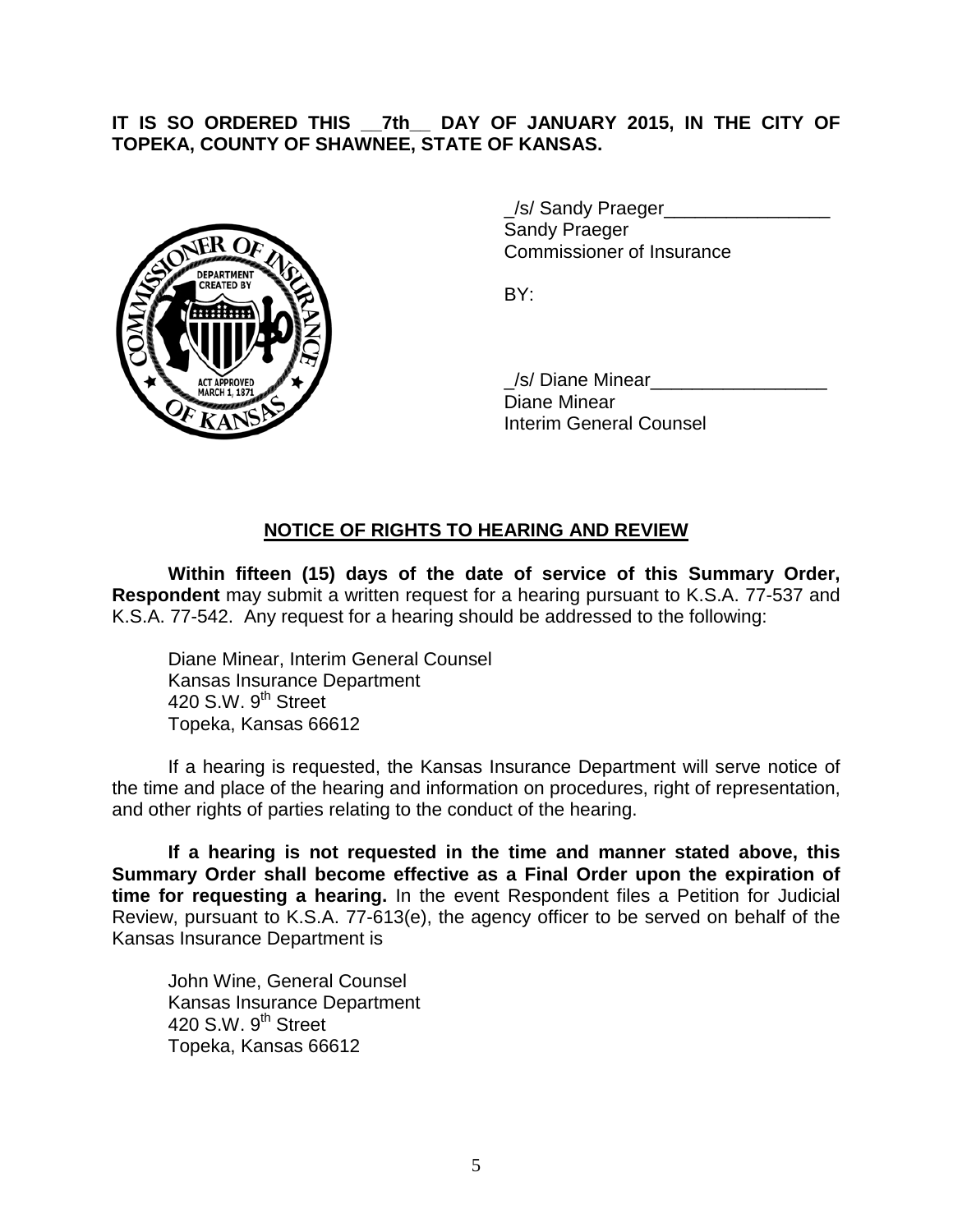# **IT IS SO ORDERED THIS \_\_7th\_\_ DAY OF JANUARY 2015, IN THE CITY OF TOPEKA, COUNTY OF SHAWNEE, STATE OF KANSAS.**



/s/ Sandy Praeger Sandy Praeger Commissioner of Insurance

BY:

\_/s/ Diane Minear\_\_\_\_\_\_\_\_\_\_\_\_\_\_\_\_\_ Diane Minear Interim General Counsel

# **NOTICE OF RIGHTS TO HEARING AND REVIEW**

**Within fifteen (15) days of the date of service of this Summary Order, Respondent** may submit a written request for a hearing pursuant to K.S.A. 77-537 and K.S.A. 77-542. Any request for a hearing should be addressed to the following:

Diane Minear, Interim General Counsel Kansas Insurance Department 420 S.W.  $9<sup>th</sup>$  Street Topeka, Kansas 66612

If a hearing is requested, the Kansas Insurance Department will serve notice of the time and place of the hearing and information on procedures, right of representation, and other rights of parties relating to the conduct of the hearing.

**If a hearing is not requested in the time and manner stated above, this Summary Order shall become effective as a Final Order upon the expiration of time for requesting a hearing.** In the event Respondent files a Petition for Judicial Review, pursuant to K.S.A. 77-613(e), the agency officer to be served on behalf of the Kansas Insurance Department is

John Wine, General Counsel Kansas Insurance Department 420 S.W. 9<sup>th</sup> Street Topeka, Kansas 66612